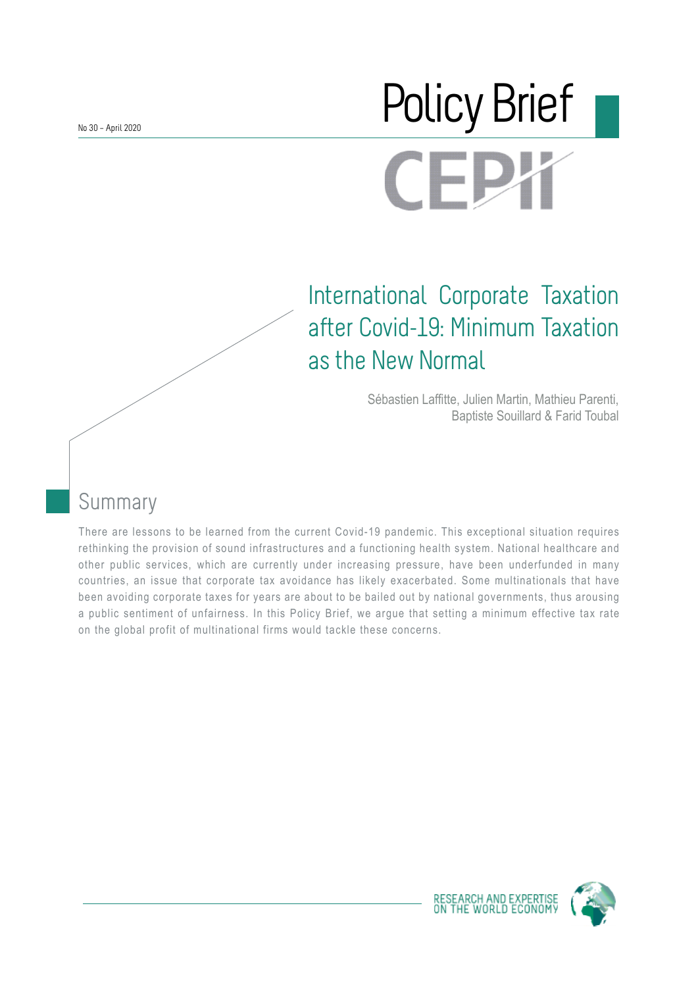No 30 – April 2020

# Policy Brief $\blacksquare$

## International Corporate Taxation after Covid-19: Minimum Taxation as the New Normal

Sébastien Laffitte, Julien Martin, Mathieu Parenti, Baptiste Souillard & Farid Toubal

## Summary

There are lessons to be learned from the current Covid-19 pandemic. This exceptional situation requires rethinking the provision of sound infrastructures and a functioning health system. National healthcare and other public services, which are currently under increasing pressure, have been underfunded in many countries, an issue that corporate tax avoidance has likely exacerbated. Some multinationals that have been avoiding corporate taxes for years are about to be bailed out by national governments, thus arousing a public sentiment of unfairness. In this Policy Brief, we argue that setting a minimum effective tax rate on the global profit of multinational firms would tackle these concerns.



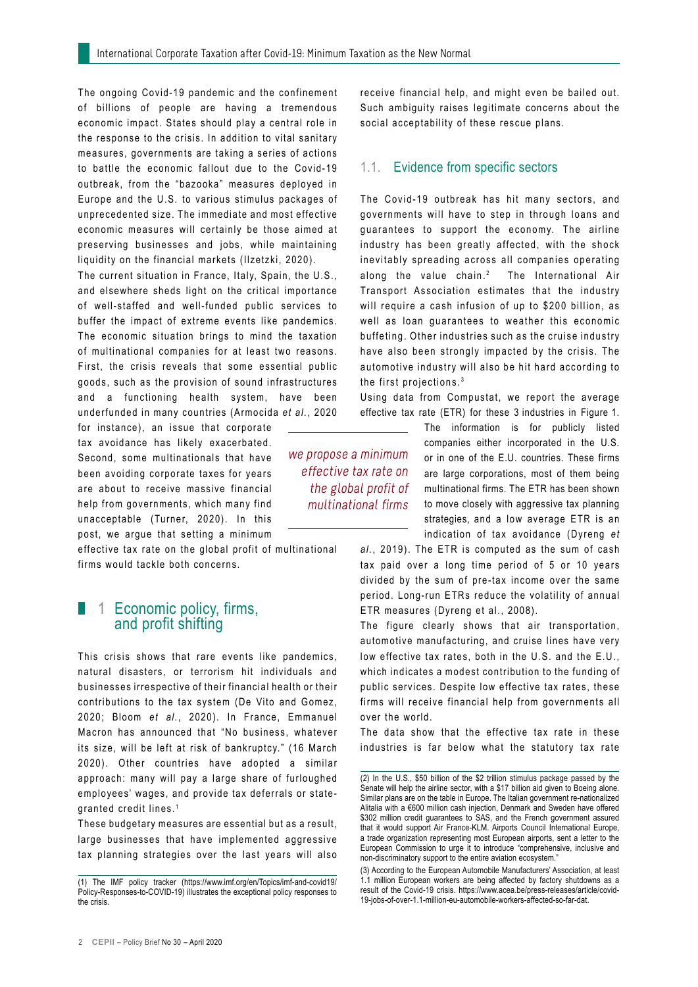The ongoing Covid-19 pandemic and the confinement of billions of people are having a tremendous economic impact. States should play a central role in the response to the crisis. In addition to vital sanitary measures, governments are taking a series of actions to battle the economic fallout due to the Covid-19 outbreak, from the "bazooka" measures deployed in Europe and the U.S. to various stimulus packages of unprecedented size. The immediate and most effective economic measures will certainly be those aimed at preserving businesses and jobs, while maintaining liquidity on the financial markets (Ilzetzki, 2020).

The current situation in France, Italy, Spain, the U.S., and elsewhere sheds light on the critical importance of well-staffed and well-funded public services to buffer the impact of extreme events like pandemics. The economic situation brings to mind the taxation of multinational companies for at least two reasons. First, the crisis reveals that some essential public goods, such as the provision of sound infrastructures and a functioning health system, have been underfunded in many countries (Armocida *et al.*, 2020

for instance), an issue that corporate tax avoidance has likely exacerbated. Second, some multinationals that have been avoiding corporate taxes for years are about to receive massive financial help from governments, which many find unacceptable (Turner, 2020). In this post, we argue that setting a minimum

effective tax rate on the global profit of multinational firms would tackle both concerns.

#### 1 Economic policy, firms, and profit shifting

This crisis shows that rare events like pandemics, natural disasters, or terrorism hit individuals and businesses irrespective of their financial health or their contributions to the tax system (De Vito and Gomez, 2020; Bloom *et al.*, 2020). In France, Emmanuel Macron has announced that "No business, whatever its size, will be left at risk of bankruptcy." (16 March 2020). Other countries have adopted a similar approach: many will pay a large share of furloughed employees' wages, and provide tax deferrals or stategranted credit lines. <sup>1</sup>

These budgetary measures are essential but as a result, large businesses that have implemented aggressive tax planning strategies over the last years will also receive financial help, and might even be bailed out. Such ambiguity raises legitimate concerns about the social acceptability of these rescue plans.

#### 1.1. Evidence from specific sectors

The Covid-19 outbreak has hit many sectors, and governments will have to step in through loans and guarantees to support the economy. The airline industry has been greatly affected, with the shock inevitably spreading across all companies operating along the value chain.<sup>2</sup> The International Air Transport Association estimates that the industry will require a cash infusion of up to \$200 billion, as well as loan guarantees to weather this economic buffeting. Other industries such as the cruise industry have also been strongly impacted by the crisis. The automotive industry will also be hit hard according to the first projections. <sup>3</sup>

Using data from Compustat, we report the average effective tax rate (ETR) for these 3 industries in Figure 1.

we propose a minimum effective tax rate on the global profit of multinational firms

The information is for publicly listed companies either incorporated in the U.S. or in one of the E.U. countries. These firms are large corporations, most of them being multinational firms. The ETR has been shown to move closely with aggressive tax planning strategies, and a low average ETR is an indication of tax avoidance (Dyreng *et* 

*al.*, 2019). The ETR is computed as the sum of cash tax paid over a long time period of 5 or 10 years divided by the sum of pre-tax income over the same period. Long-run ETRs reduce the volatility of annual ETR measures (Dyreng et al., 2008).

The figure clearly shows that air transportation, automotive manufacturing, and cruise lines have very low effective tax rates, both in the U.S. and the E.U., which indicates a modest contribution to the funding of public services. Despite low effective tax rates, these firms will receive financial help from governments all over the world.

The data show that the effective tax rate in these industries is far below what the statutory tax rate

<sup>(1)</sup> The IMF policy tracker (https://www.imf.org/en/Topics/imf-and-covid19/ Policy-Responses-to-COVID-19) illustrates the exceptional policy responses to the crisis.

<sup>(2)</sup> In the U.S., \$50 billion of the \$2 trillion stimulus package passed by the Senate will help the airline sector, with a \$17 billion aid given to Boeing alone. Similar plans are on the table in Europe. The Italian government re-nationalized Alitalia with a €600 million cash injection, Denmark and Sweden have offered \$302 million credit guarantees to SAS, and the French government assured that it would support Air France-KLM. Airports Council International Europe, a trade organization representing most European airports, sent a letter to the European Commission to urge it to introduce "comprehensive, inclusive and non-discriminatory support to the entire aviation ecosystem."

<sup>(3)</sup> According to the European Automobile Manufacturers' Association, at least 1.1 million European workers are being affected by factory shutdowns as a result of the Covid-19 crisis. https://www.acea.be/press-releases/article/covid-19-jobs-of-over-1.1-million-eu-automobile-workers-affected-so-far-dat.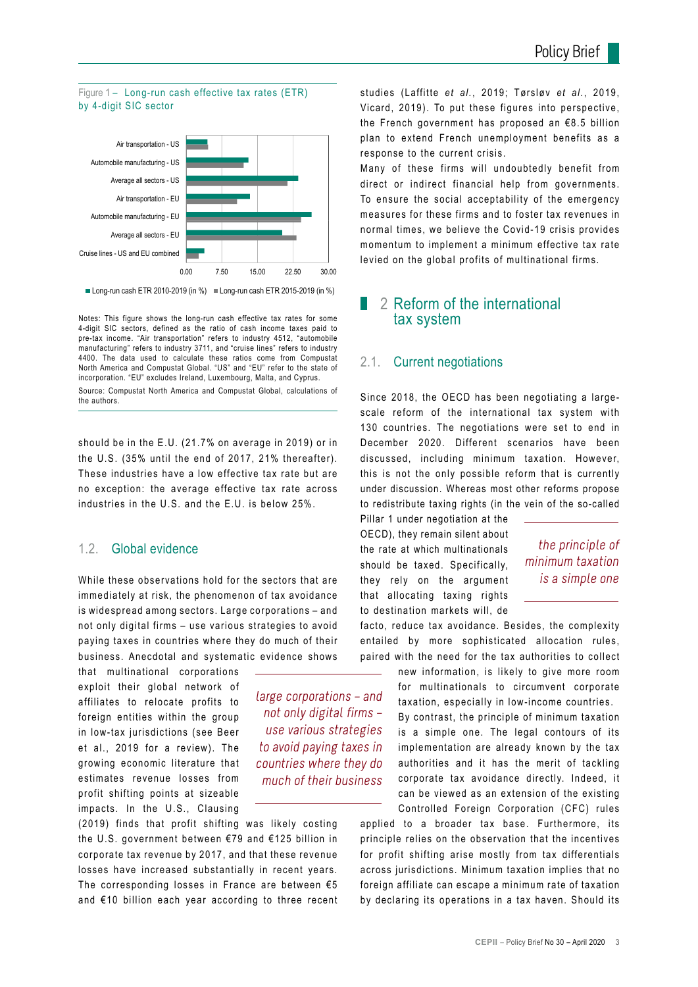



Notes: This figure shows the long-run cash effective tax rates for some 4-digit SIC sectors, defined as the ratio of cash income taxes paid to pre-tax income. "Air transportation" refers to industry 4512, "automobile manufacturing" refers to industry 3711, and "cruise lines" refers to industry 4400. The data used to calculate these ratios come from Compustat North America and Compustat Global. "US" and "EU" refer to the state of incorporation. "EU" excludes Ireland, Luxembourg, Malta, and Cyprus.

Source: Compustat North America and Compustat Global, calculations of the authors.

should be in the E.U. (21.7% on average in 2019) or in the U.S. (35% until the end of 2017, 21% thereafter). These industries have a low effective tax rate but are no exception: the average effective tax rate across industries in the U.S. and the E.U. is below 25%.

#### 1.2. Global evidence

While these observations hold for the sectors that are immediately at risk, the phenomenon of tax avoidance is widespread among sectors. Large corporations – and not only digital firms – use various strategies to avoid paying taxes in countries where they do much of their business. Anecdotal and systematic evidence shows

that multinational corporations exploit their global network of affiliates to relocate profits to foreign entities within the group in low-tax jurisdictions (see Beer et al., 2019 for a review). The growing economic literature that estimates revenue losses from profit shifting points at sizeable impacts. In the U.S., Clausing

large corporations – and not only digital firms – use various strategies to avoid paying taxes in countries where they do much of their business

(2019) finds that profit shifting was likely costing the U.S. government between €79 and €125 billion in corporate tax revenue by 2017, and that these revenue losses have increased substantially in recent years. The corresponding losses in France are between  $65$ and €10 billion each year according to three recent studies (Laffitte *et al.*, 2019; Tørsløv *et al.*, 2019, Vicard, 2019). To put these figures into perspective, the French government has proposed an €8.5 billion plan to extend French unemployment benefits as a response to the current crisis.

Many of these firms will undoubtedly benefit from direct or indirect financial help from governments. To ensure the social acceptability of the emergency measures for these firms and to foster tax revenues in normal times, we believe the Covid-19 crisis provides momentum to implement a minimum effective tax rate levied on the global profits of multinational firms.

#### 2 Reform of the international tax system

#### 2.1. Current negotiations

Since 2018, the OECD has been negotiating a largescale reform of the international tax system with 130 countries. The negotiations were set to end in December 2020. Different scenarios have been discussed, including minimum taxation. However, this is not the only possible reform that is currently under discussion. Whereas most other reforms propose to redistribute taxing rights (in the vein of the so-called

Pillar 1 under negotiation at the OECD), they remain silent about the rate at which multinationals should be taxed. Specifically, they rely on the argument that allocating taxing rights to destination markets will, de

#### the principle of minimum taxation is a simple one

facto, reduce tax avoidance. Besides, the complexity entailed by more sophisticated allocation rules, paired with the need for the tax authorities to collect

new information, is likely to give more room for multinationals to circumvent corporate taxation, especially in low-income countries. By contrast, the principle of minimum taxation is a simple one. The legal contours of its implementation are already known by the tax authorities and it has the merit of tackling corporate tax avoidance directly. Indeed, it can be viewed as an extension of the existing Controlled Foreign Corporation (CFC) rules

applied to a broader tax base. Furthermore, its principle relies on the observation that the incentives for profit shifting arise mostly from tax differentials across jurisdictions. Minimum taxation implies that no foreign affiliate can escape a minimum rate of taxation by declaring its operations in a tax haven. Should its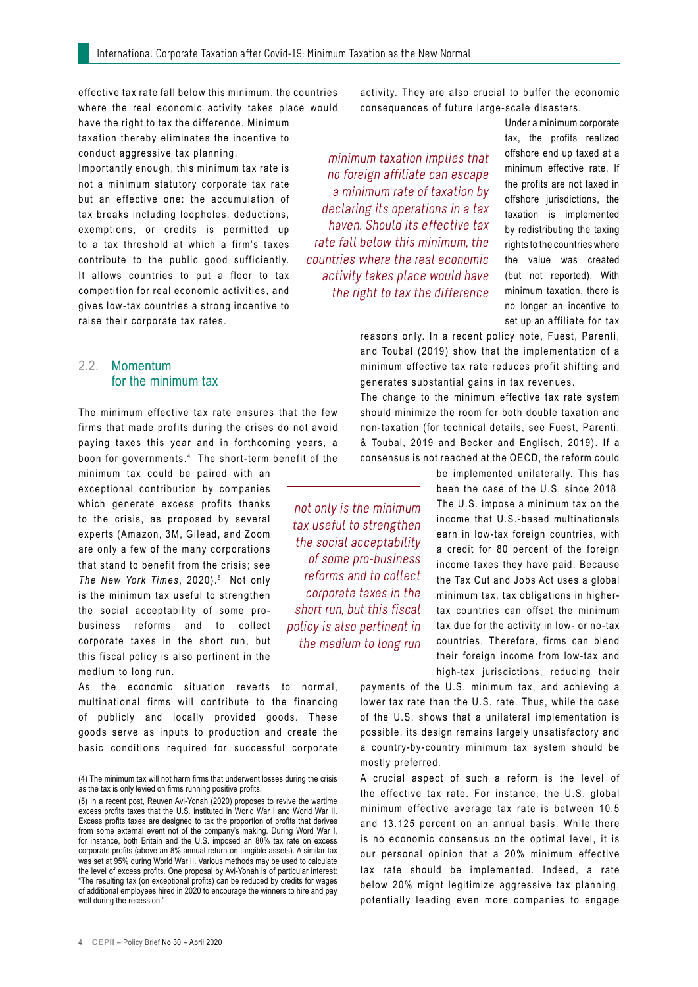effective tax rate fall below this minimum, the countries where the real economic activity takes place would

have the right to tax the difference. Minimum taxation thereby eliminates the incentive to conduct aggressive tax planning.

Importantly enough, this minimum tax rate is not a minimum statutory corporate tax rate but an effective one: the accumulation of tax breaks including loopholes, deductions, exemptions, or credits is permitted up to a tax threshold at which a firm's taxes contribute to the public good sufficiently. It allows countries to put a floor to tax competition for real economic activities, and gives low-tax countries a strong incentive to raise their corporate tax rates.

#### 2.2. Momentum for the minimum tax

The minimum effective tax rate ensures that the few firms that made profits during the crises do not avoid paying taxes this year and in forthcoming years, a boon for governments. <sup>4</sup> The short-term benefit of the

minimum tax could be paired with an exceptional contribution by companies which generate excess profits thanks to the crisis, as proposed by several experts (Amazon, 3M, Gilead, and Zoom are only a few of the many corporations that stand to benefit from the crisis; see The New York Times, 2020).<sup>5</sup> Not only is the minimum tax useful to strengthen the social acceptability of some probusiness reforms and to collect corporate taxes in the short run, but this fiscal policy is also pertinent in the medium to long run.

As the economic situation reverts to normal, multinational firms will contribute to the financing of publicly and locally provided goods. These goods serve as inputs to production and create the basic conditions required for successful corporate activity. They are also crucial to buffer the economic consequences of future large-scale disasters.

minimum taxation implies that no foreign affiliate can escape a minimum rate of taxation by declaring its operations in a tax haven. Should its effective tax rate fall below this minimum, the countries where the real economic activity takes place would have the right to tax the difference

Under a minimum corporate tax, the profits realized offshore end up taxed at a minimum effective rate. If the profits are not taxed in offshore jurisdictions, the taxation is implemented by redistributing the taxing rights to the countries where the value was created (but not reported). With minimum taxation, there is no longer an incentive to set up an affiliate for tax

reasons only. In a recent policy note, Fuest, Parenti, and Toubal (2019) show that the implementation of a minimum effective tax rate reduces profit shifting and generates substantial gains in tax revenues.

The change to the minimum effective tax rate system should minimize the room for both double taxation and non-taxation (for technical details, see Fuest, Parenti, & Toubal, 2019 and Becker and Englisch, 2019). If a consensus is not reached at the OECD, the reform could

not only is the minimum tax useful to strengthen the social acceptability of some pro-business reforms and to collect corporate taxes in the short run, but this fiscal policy is also pertinent in the medium to long run

be implemented unilaterally. This has been the case of the U.S. since 2018. The U.S. impose a minimum tax on the income that U.S.-based multinationals earn in low-tax foreign countries, with a credit for 80 percent of the foreign income taxes they have paid. Because the Tax Cut and Jobs Act uses a global minimum tax, tax obligations in highertax countries can offset the minimum tax due for the activity in low- or no-tax countries. Therefore, firms can blend their foreign income from low-tax and high-tax jurisdictions, reducing their

payments of the U.S. minimum tax, and achieving a lower tax rate than the U.S. rate. Thus, while the case of the U.S. shows that a unilateral implementation is possible, its design remains largely unsatisfactory and a country-by-country minimum tax system should be mostly preferred.

A crucial aspect of such a reform is the level of the effective tax rate. For instance, the U.S. global minimum effective average tax rate is between 10.5 and 13.125 percent on an annual basis. While there is no economic consensus on the optimal level, it is our personal opinion that a 20% minimum effective tax rate should be implemented. Indeed, a rate below 20% might legitimize aggressive tax planning, potentially leading even more companies to engage

<sup>(4)</sup> The minimum tax will not harm firms that underwent losses during the crisis as the tax is only levied on firms running positive profits.

<sup>(5)</sup> In a recent post, Reuven Avi-Yonah (2020) proposes to revive the wartime excess profits taxes that the U.S. instituted in World War I and World War II. Excess profits taxes are designed to tax the proportion of profits that derives from some external event not of the company's making. During Word War I, for instance, both Britain and the U.S. imposed an 80% tax rate on excess corporate profits (above an 8% annual return on tangible assets). A similar tax was set at 95% during World War II. Various methods may be used to calculate the level of excess profits. One proposal by Avi-Yonah is of particular interest: "The resulting tax (on exceptional profits) can be reduced by credits for wages of additional employees hired in 2020 to encourage the winners to hire and pay well during the recession."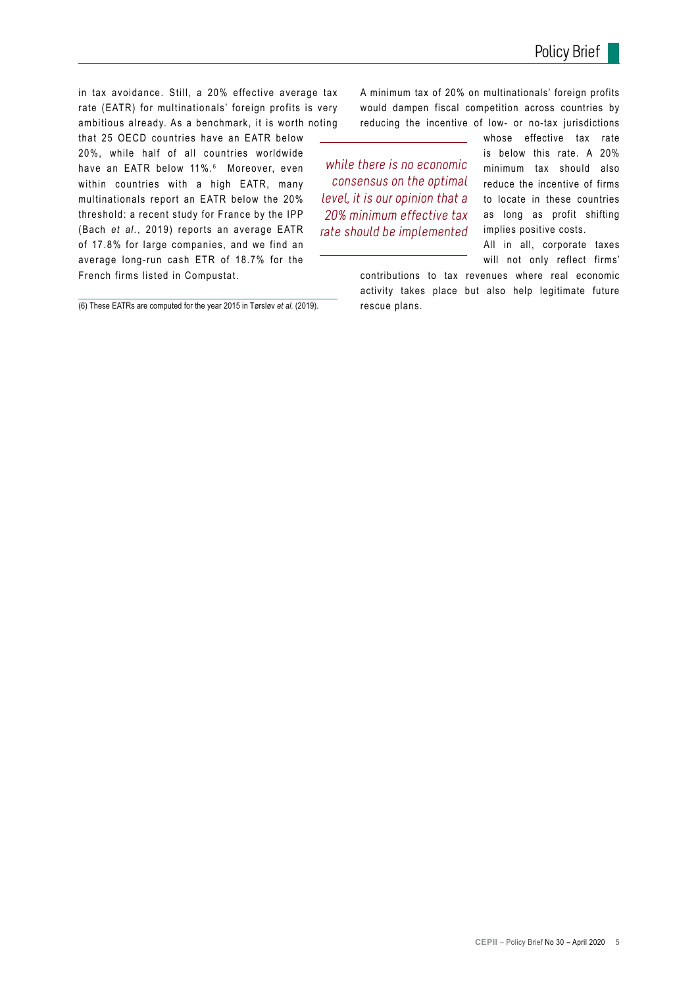in tax avoidance. Still, a 20% effective average tax rate (EATR) for multinationals' foreign profits is very ambitious already. As a benchmark, it is worth noting

that 25 OECD countries have an EATR below 20%, while half of all countries worldwide have an EATR below 11%. <sup>6</sup> Moreover, even within countries with a high EATR, many multinationals report an EATR below the 20% threshold: a recent study for France by the IPP (Bach *et al.*, 2019) reports an average EATR of 17.8% for large companies, and we find an average long-run cash ETR of 18.7% for the French firms listed in Compustat.

(6) These EATRs are computed for the year 2015 in Tørsløv *et al.* (2019).

A minimum tax of 20% on multinationals' foreign profits would dampen fiscal competition across countries by reducing the incentive of low- or no-tax jurisdictions

while there is no economic consensus on the optimal level, it is our opinion that a 20% minimum effective tax rate should be implemented whose effective tax rate is below this rate. A 20% minimum tax should also reduce the incentive of firms to locate in these countries as long as profit shifting implies positive costs.

All in all, corporate taxes will not only reflect firms'

contributions to tax revenues where real economic activity takes place but also help legitimate future rescue plans.